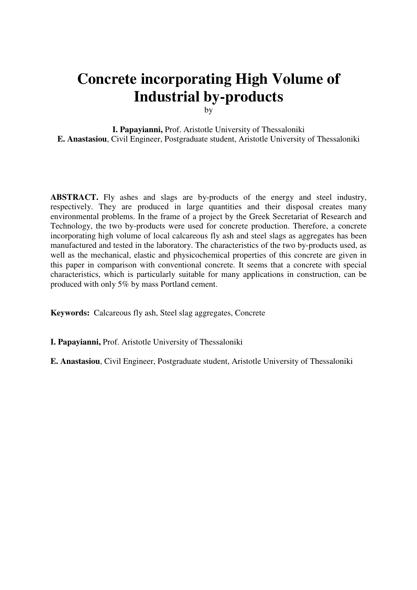# **Concrete incorporating High Volume of Industrial by-products**

by

**I. Papayianni,** Prof. Aristotle University of Thessaloniki **E. Anastasiou**, Civil Engineer, Postgraduate student, Aristotle University of Thessaloniki

**ABSTRACT.** Fly ashes and slags are by-products of the energy and steel industry, respectively. They are produced in large quantities and their disposal creates many environmental problems. In the frame of a project by the Greek Secretariat of Research and Technology, the two by-products were used for concrete production. Therefore, a concrete incorporating high volume of local calcareous fly ash and steel slags as aggregates has been manufactured and tested in the laboratory. The characteristics of the two by-products used, as well as the mechanical, elastic and physicochemical properties of this concrete are given in this paper in comparison with conventional concrete. It seems that a concrete with special characteristics, which is particularly suitable for many applications in construction, can be produced with only 5% by mass Portland cement.

**Keywords:** Calcareous fly ash, Steel slag aggregates, Concrete

**I. Papayianni,** Prof. Aristotle University of Thessaloniki

**E. Anastasiou**, Civil Engineer, Postgraduate student, Aristotle University of Thessaloniki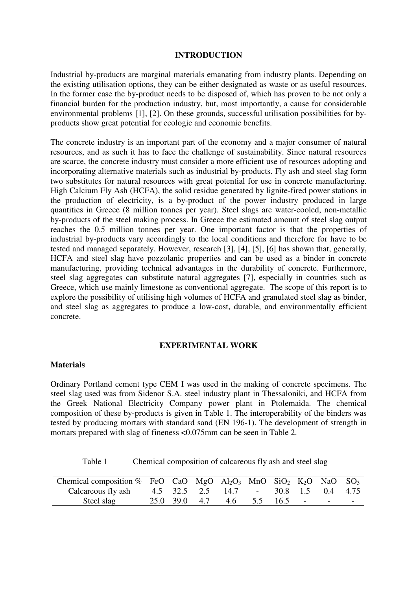#### **INTRODUCTION**

Industrial by-products are marginal materials emanating from industry plants. Depending on the existing utilisation options, they can be either designated as waste or as useful resources. In the former case the by-product needs to be disposed of, which has proven to be not only a financial burden for the production industry, but, most importantly, a cause for considerable environmental problems [1], [2]. On these grounds, successful utilisation possibilities for byproducts show great potential for ecologic and economic benefits.

The concrete industry is an important part of the economy and a major consumer of natural resources, and as such it has to face the challenge of sustainability. Since natural resources are scarce, the concrete industry must consider a more efficient use of resources adopting and incorporating alternative materials such as industrial by-products. Fly ash and steel slag form two substitutes for natural resources with great potential for use in concrete manufacturing. High Calcium Fly Ash (HCFA), the solid residue generated by lignite-fired power stations in the production of electricity, is a by-product of the power industry produced in large quantities in Greece (8 million tonnes per year). Steel slags are water-cooled, non-metallic by-products of the steel making process. In Greece the estimated amount of steel slag output reaches the 0.5 million tonnes per year. One important factor is that the properties of industrial by-products vary accordingly to the local conditions and therefore for have to be tested and managed separately. However, research [3], [4], [5], [6] has shown that, generally, HCFA and steel slag have pozzolanic properties and can be used as a binder in concrete manufacturing, providing technical advantages in the durability of concrete. Furthermore, steel slag aggregates can substitute natural aggregates [7], especially in countries such as Greece, which use mainly limestone as conventional aggregate. The scope of this report is to explore the possibility of utilising high volumes of HCFA and granulated steel slag as binder, and steel slag as aggregates to produce a low-cost, durable, and environmentally efficient concrete.

#### **EXPERIMENTAL WORK**

## **Materials**

Ordinary Portland cement type CEM I was used in the making of concrete specimens. The steel slag used was from Sidenor S.A. steel industry plant in Thessaloniki, and HCFA from the Greek National Electricity Company power plant in Ptolemaida. The chemical composition of these by-products is given in Table 1. The interoperability of the binders was tested by producing mortars with standard sand (EN 196-1). The development of strength in mortars prepared with slag of fineness <0.075mm can be seen in Table 2.

Table 1 Chemical composition of calcareous fly ash and steel slag

| Chemical composition % FeO CaO MgO $Al_2O_3$ MnO SiO <sub>2</sub> K <sub>2</sub> O NaO SO <sub>3</sub> |  |                                       |  |  |  |
|--------------------------------------------------------------------------------------------------------|--|---------------------------------------|--|--|--|
| Calcareous fly ash                                                                                     |  | 4.5 32.5 2.5 14.7 - 30.8 1.5 0.4 4.75 |  |  |  |
| Steel slag                                                                                             |  | 25.0 39.0 4.7 4.6 5.5 16.5 - - -      |  |  |  |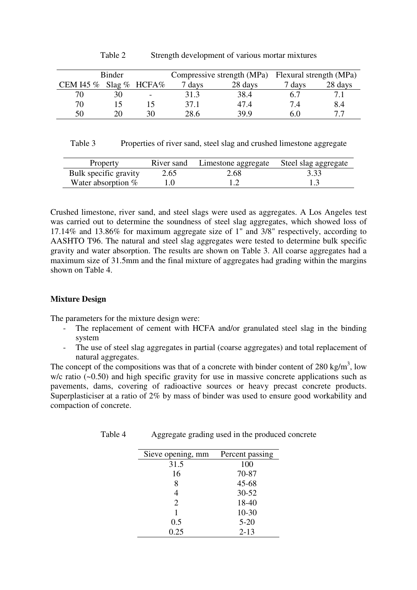| Binder                           |    |    |        |         | Compressive strength (MPa) Flexural strength (MPa) |         |  |
|----------------------------------|----|----|--------|---------|----------------------------------------------------|---------|--|
| CEM I45 $\%$ Slag $\%$ HCFA $\%$ |    |    | 7 days | 28 days | 7 days                                             | 28 days |  |
| 70                               |    |    | 31.3   | 38.4    | 6.7                                                |         |  |
| 70                               |    |    | 37.1   | 47.4    | 74                                                 | 8.4     |  |
| 50                               | 20 | 30 | 28.6   | 39.9    | 6.0                                                |         |  |

Table 2 Strength development of various mortar mixtures

| Table 3 |  | Properties of river sand, steel slag and crushed limestone aggregate |  |
|---------|--|----------------------------------------------------------------------|--|
|---------|--|----------------------------------------------------------------------|--|

| Property              | River sand | Limestone aggregate | Steel slag aggregate |
|-----------------------|------------|---------------------|----------------------|
| Bulk specific gravity | 2.65       | 2.68                | 3.33                 |
| Water absorption $%$  |            |                     |                      |

Crushed limestone, river sand, and steel slags were used as aggregates. A Los Angeles test was carried out to determine the soundness of steel slag aggregates, which showed loss of 17.14% and 13.86% for maximum aggregate size of 1" and 3/8" respectively, according to AASHTO T96. The natural and steel slag aggregates were tested to determine bulk specific gravity and water absorption. The results are shown on Table 3. All coarse aggregates had a maximum size of 31.5mm and the final mixture of aggregates had grading within the margins shown on Table 4.

# **Mixture Design**

The parameters for the mixture design were:

- The replacement of cement with HCFA and/or granulated steel slag in the binding system
- The use of steel slag aggregates in partial (coarse aggregates) and total replacement of natural aggregates.

The concept of the compositions was that of a concrete with binder content of 280 kg/m<sup>3</sup>, low w/c ratio (~0.50) and high specific gravity for use in massive concrete applications such as pavements, dams, covering of radioactive sources or heavy precast concrete products. Superplasticiser at a ratio of 2% by mass of binder was used to ensure good workability and compaction of concrete.

| Sieve opening, mm Percent passing |       |
|-----------------------------------|-------|
| 31.5                              | 100   |
| 16                                | 70-87 |

Table 4 Aggregate grading used in the produced concrete

| 16   | 70-87     |
|------|-----------|
| 8    | $45 - 68$ |
| 4    | $30 - 52$ |
| 2    | 18-40     |
| 1    | $10 - 30$ |
| 0.5  | $5 - 20$  |
| 0.25 | $2 - 13$  |
|      |           |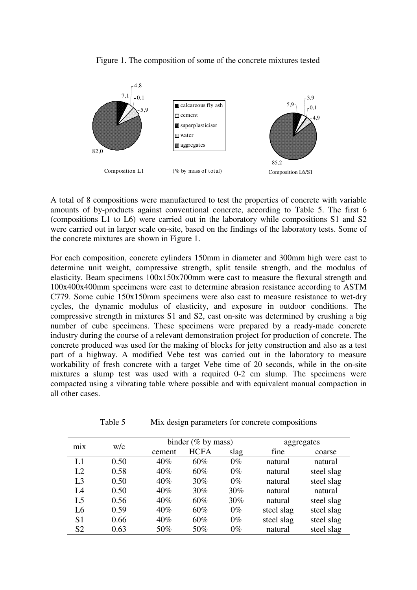

Figure 1. The composition of some of the concrete mixtures tested

A total of 8 compositions were manufactured to test the properties of concrete with variable amounts of by-products against conventional concrete, according to Table 5. The first 6 (compositions L1 to L6) were carried out in the laboratory while compositions S1 and S2 were carried out in larger scale on-site, based on the findings of the laboratory tests. Some of the concrete mixtures are shown in Figure 1.

For each composition, concrete cylinders 150mm in diameter and 300mm high were cast to determine unit weight, compressive strength, split tensile strength, and the modulus of elasticity. Beam specimens 100x150x700mm were cast to measure the flexural strength and 100x400x400mm specimens were cast to determine abrasion resistance according to ASTM C779. Some cubic 150x150mm specimens were also cast to measure resistance to wet-dry cycles, the dynamic modulus of elasticity, and exposure in outdoor conditions. The compressive strength in mixtures S1 and S2, cast on-site was determined by crushing a big number of cube specimens. These specimens were prepared by a ready-made concrete industry during the course of a relevant demonstration project for production of concrete. The concrete produced was used for the making of blocks for jetty construction and also as a test part of a highway. A modified Vebe test was carried out in the laboratory to measure workability of fresh concrete with a target Vebe time of 20 seconds, while in the on-site mixtures a slump test was used with a required 0-2 cm slump. The specimens were compacted using a vibrating table where possible and with equivalent manual compaction in all other cases.

| W/c<br>m <sub>1</sub> x |      |        | binder $(\%$ by mass) | aggregates |            |            |
|-------------------------|------|--------|-----------------------|------------|------------|------------|
|                         |      | cement | <b>HCFA</b>           | slag       | fine       | coarse     |
| L1                      | 0.50 | 40%    | 60%                   | $0\%$      | natural    | natural    |
| L2                      | 0.58 | 40%    | 60%                   | $0\%$      | natural    | steel slag |
| L <sub>3</sub>          | 0.50 | 40%    | 30%                   | $0\%$      | natural    | steel slag |
| L4                      | 0.50 | 40%    | 30%                   | 30%        | natural    | natural    |
| L <sub>5</sub>          | 0.56 | 40%    | 60%                   | 30%        | natural    | steel slag |
| L <sub>6</sub>          | 0.59 | 40%    | 60%                   | $0\%$      | steel slag | steel slag |
| S <sub>1</sub>          | 0.66 | 40%    | 60%                   | $0\%$      | steel slag | steel slag |
| S <sub>2</sub>          | 0.63 | 50%    | 50%                   | $0\%$      | natural    | steel slag |

Table 5 Mix design parameters for concrete compositions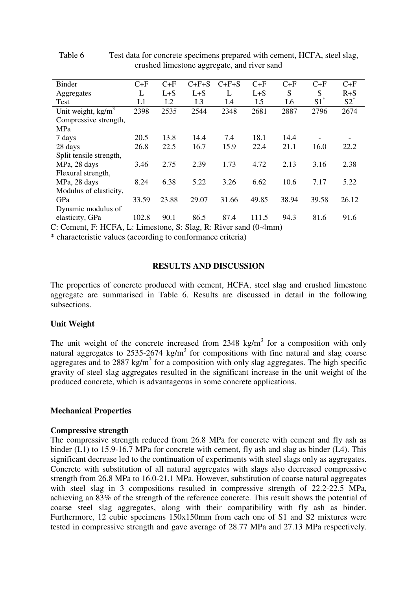| Binder                  | $C+F$ | $C+F$          | $C+F+S$        | $C+F+S$ | $C+F$          | $C+F$ | $C+F$  | $C+F$   |
|-------------------------|-------|----------------|----------------|---------|----------------|-------|--------|---------|
| Aggregates              | L     | $L + S$        | $L + S$        | L       | $L + S$        | S     | S      | $R + S$ |
| Test                    | L1    | L <sub>2</sub> | L <sub>3</sub> | L4      | L <sub>5</sub> | L6    | $S1^*$ | $52^*$  |
| Unit weight, $kg/m3$    | 2398  | 2535           | 2544           | 2348    | 2681           | 2887  | 2796   | 2674    |
| Compressive strength,   |       |                |                |         |                |       |        |         |
| MPa                     |       |                |                |         |                |       |        |         |
| 7 days                  | 20.5  | 13.8           | 14.4           | 7.4     | 18.1           | 14.4  |        |         |
| 28 days                 | 26.8  | 22.5           | 16.7           | 15.9    | 22.4           | 21.1  | 16.0   | 22.2    |
| Split tensile strength, |       |                |                |         |                |       |        |         |
| MPa, 28 days            | 3.46  | 2.75           | 2.39           | 1.73    | 4.72           | 2.13  | 3.16   | 2.38    |
| Flexural strength,      |       |                |                |         |                |       |        |         |
| MPa, 28 days            | 8.24  | 6.38           | 5.22           | 3.26    | 6.62           | 10.6  | 7.17   | 5.22    |
| Modulus of elasticity,  |       |                |                |         |                |       |        |         |
| GPa                     | 33.59 | 23.88          | 29.07          | 31.66   | 49.85          | 38.94 | 39.58  | 26.12   |
| Dynamic modulus of      |       |                |                |         |                |       |        |         |
| elasticity, GPa         | 102.8 | 90.1           | 86.5           | 87.4    | 111.5          | 94.3  | 81.6   | 91.6    |
|                         |       |                |                |         |                |       |        |         |

Table 6 Test data for concrete specimens prepared with cement, HCFA, steel slag, crushed limestone aggregate, and river sand

C: Cement, F: HCFA, L: Limestone, S: Slag, R: River sand (0-4mm)

\* characteristic values (according to conformance criteria)

# **RESULTS AND DISCUSSION**

The properties of concrete produced with cement, HCFA, steel slag and crushed limestone aggregate are summarised in Table 6. Results are discussed in detail in the following subsections.

#### **Unit Weight**

The unit weight of the concrete increased from 2348 kg/m<sup>3</sup> for a composition with only natural aggregates to 2535-2674 kg/m<sup>3</sup> for compositions with fine natural and slag coarse aggregates and to 2887 kg/m<sup>3</sup> for a composition with only slag aggregates. The high specific gravity of steel slag aggregates resulted in the significant increase in the unit weight of the produced concrete, which is advantageous in some concrete applications.

#### **Mechanical Properties**

#### **Compressive strength**

The compressive strength reduced from 26.8 MPa for concrete with cement and fly ash as binder (L1) to 15.9-16.7 MPa for concrete with cement, fly ash and slag as binder (L4). This significant decrease led to the continuation of experiments with steel slags only as aggregates. Concrete with substitution of all natural aggregates with slags also decreased compressive strength from 26.8 MPa to 16.0-21.1 MPa. However, substitution of coarse natural aggregates with steel slag in 3 compositions resulted in compressive strength of 22.2-22.5 MPa, achieving an 83% of the strength of the reference concrete. This result shows the potential of coarse steel slag aggregates, along with their compatibility with fly ash as binder. Furthermore, 12 cubic specimens 150x150mm from each one of S1 and S2 mixtures were tested in compressive strength and gave average of 28.77 MPa and 27.13 MPa respectively.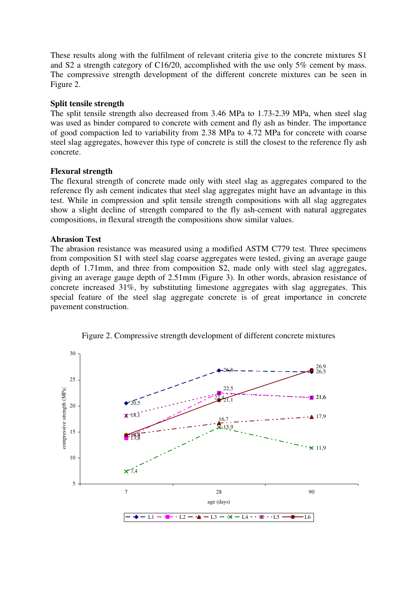These results along with the fulfilment of relevant criteria give to the concrete mixtures S1 and S2 a strength category of C16/20, accomplished with the use only 5% cement by mass. The compressive strength development of the different concrete mixtures can be seen in Figure 2.

# **Split tensile strength**

The split tensile strength also decreased from 3.46 MPa to 1.73-2.39 MPa, when steel slag was used as binder compared to concrete with cement and fly ash as binder. The importance of good compaction led to variability from 2.38 MPa to 4.72 MPa for concrete with coarse steel slag aggregates, however this type of concrete is still the closest to the reference fly ash concrete.

## **Flexural strength**

The flexural strength of concrete made only with steel slag as aggregates compared to the reference fly ash cement indicates that steel slag aggregates might have an advantage in this test. While in compression and split tensile strength compositions with all slag aggregates show a slight decline of strength compared to the fly ash-cement with natural aggregates compositions, in flexural strength the compositions show similar values.

## **Abrasion Test**

The abrasion resistance was measured using a modified ASTM C779 test. Three specimens from composition S1 with steel slag coarse aggregates were tested, giving an average gauge depth of 1.71mm, and three from composition S2, made only with steel slag aggregates, giving an average gauge depth of 2.51mm (Figure 3). In other words, abrasion resistance of concrete increased 31%, by substituting limestone aggregates with slag aggregates. This special feature of the steel slag aggregate concrete is of great importance in concrete pavement construction.



Figure 2. Compressive strength development of different concrete mixtures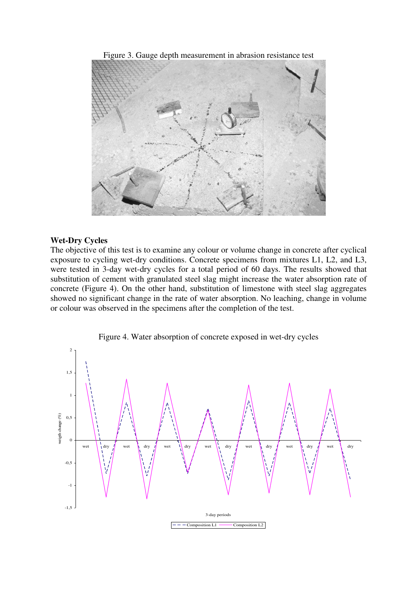Figure 3. Gauge depth measurement in abrasion resistance test



#### **Wet-Dry Cycles**

The objective of this test is to examine any colour or volume change in concrete after cyclical exposure to cycling wet-dry conditions. Concrete specimens from mixtures L1, L2, and L3, were tested in 3-day wet-dry cycles for a total period of 60 days. The results showed that substitution of cement with granulated steel slag might increase the water absorption rate of concrete (Figure 4). On the other hand, substitution of limestone with steel slag aggregates showed no significant change in the rate of water absorption. No leaching, change in volume or colour was observed in the specimens after the completion of the test.

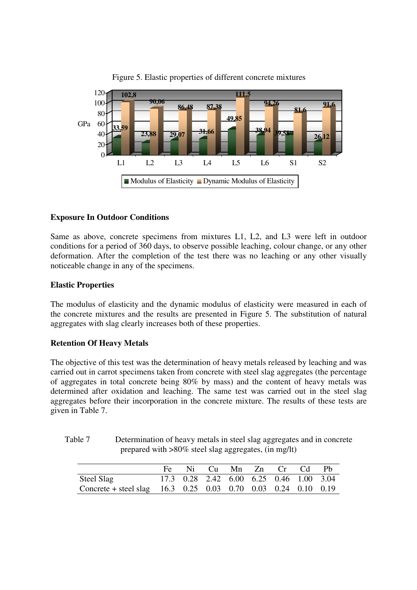

Figure 5. Elastic properties of different concrete mixtures

# **Exposure In Outdoor Conditions**

Same as above, concrete specimens from mixtures L1, L2, and L3 were left in outdoor conditions for a period of 360 days, to observe possible leaching, colour change, or any other deformation. After the completion of the test there was no leaching or any other visually noticeable change in any of the specimens.

# **Elastic Properties**

The modulus of elasticity and the dynamic modulus of elasticity were measured in each of the concrete mixtures and the results are presented in Figure 5. The substitution of natural aggregates with slag clearly increases both of these properties.

# **Retention Of Heavy Metals**

The objective of this test was the determination of heavy metals released by leaching and was carried out in carrot specimens taken from concrete with steel slag aggregates (the percentage of aggregates in total concrete being 80% by mass) and the content of heavy metals was determined after oxidation and leaching. The same test was carried out in the steel slag aggregates before their incorporation in the concrete mixture. The results of these tests are given in Table 7.

| Table 7 | Determination of heavy metals in steel slag aggregates and in concrete |
|---------|------------------------------------------------------------------------|
|         | prepared with >80% steel slag aggregates, (in mg/lt)                   |

|                                                                 |  |  | Fe Ni Cu Mn Zn Cr Cd Pb                 |  |
|-----------------------------------------------------------------|--|--|-----------------------------------------|--|
| Steel Slag                                                      |  |  | 17.3 0.28 2.42 6.00 6.25 0.46 1.00 3.04 |  |
| Concrete + steel slag $16.3$ 0.25 0.03 0.70 0.03 0.24 0.10 0.19 |  |  |                                         |  |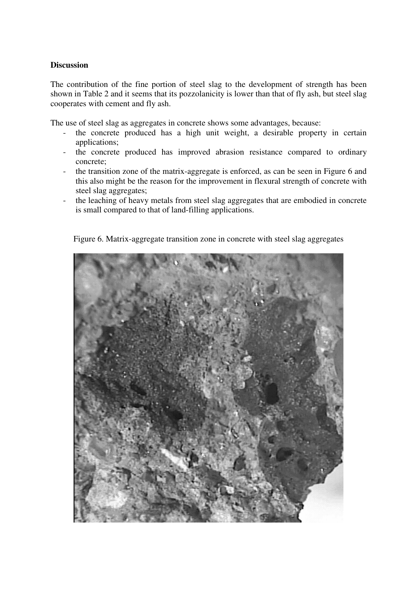# **Discussion**

The contribution of the fine portion of steel slag to the development of strength has been shown in Table 2 and it seems that its pozzolanicity is lower than that of fly ash, but steel slag cooperates with cement and fly ash.

The use of steel slag as aggregates in concrete shows some advantages, because:

- the concrete produced has a high unit weight, a desirable property in certain applications;
- the concrete produced has improved abrasion resistance compared to ordinary concrete;
- the transition zone of the matrix-aggregate is enforced, as can be seen in Figure 6 and this also might be the reason for the improvement in flexural strength of concrete with steel slag aggregates;
- the leaching of heavy metals from steel slag aggregates that are embodied in concrete is small compared to that of land-filling applications.

Figure 6. Matrix-aggregate transition zone in concrete with steel slag aggregates